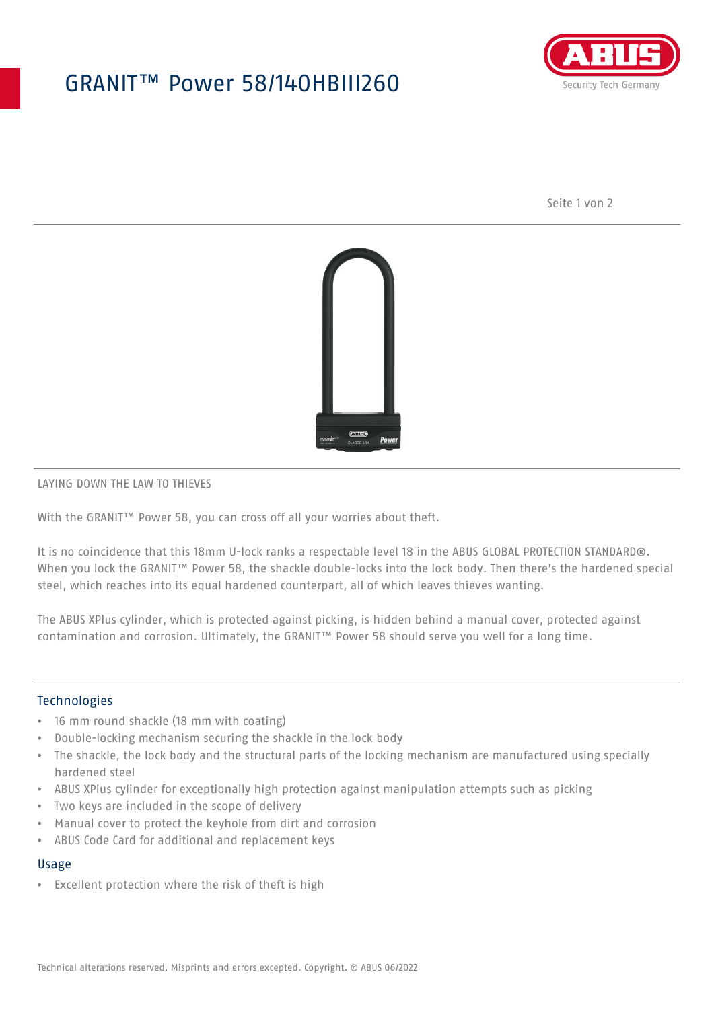## GRANIT™ Power 58/140HBIII260



Seite 1 von 2



#### LAYING DOWN THE LAW TO THIEVES

With the GRANIT<sup>™</sup> Power 58, you can cross off all your worries about theft.

It is no coincidence that this 18mm U-lock ranks a respectable level 18 in the ABUS GLOBAL PROTECTION STANDARD®. When you lock the GRANIT™ Power 58, the shackle double-locks into the lock body. Then there's the hardened special steel, which reaches into its equal hardened counterpart, all of which leaves thieves wanting.

The ABUS XPlus cylinder, which is protected against picking, is hidden behind a manual cover, protected against contamination and corrosion. Ultimately, the GRANIT™ Power 58 should serve you well for a long time.

## Technologies

- 16 mm round shackle (18 mm with coating)
- Double-locking mechanism securing the shackle in the lock body
- The shackle, the lock body and the structural parts of the locking mechanism are manufactured using specially hardened steel
- ABUS XPlus cylinder for exceptionally high protection against manipulation attempts such as picking
- Two keys are included in the scope of delivery
- Manual cover to protect the keyhole from dirt and corrosion
- ABUS Code Card for additional and replacement keys

## Usage

• Excellent protection where the risk of theft is high